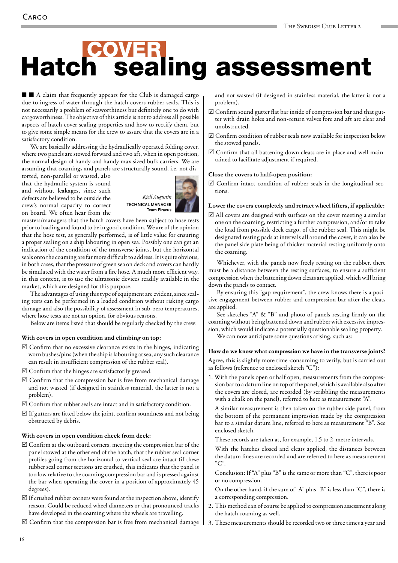# **Hatch sealing assessment**

■ ■ A claim that frequently appears for the Club is damaged cargo due to ingress of water through the hatch covers rubber seals. This is not necessarily a problem of seaworthiness but definitely one to do with cargoworthiness. The objective of this article is not to address all possible aspects of hatch cover sealing properties and how to rectify them, but to give some simple means for the crew to assure that the covers are in a satisfactory condition.

We are basically addressing the hydraulically operated folding cover, where two panels are stowed forward and two aft, when in open position, the normal design of handy and handy max sized bulk carriers. We are assuming that coamings and panels are structurally sound, i.e. not dis-

torted, non-parallel or wasted, also that the hydraulic system is sound and without leakages, since such defects are believed to be outside the crew's normal capacity to correct on board. We often hear from the



masters/managers that the hatch covers have been subject to hose tests prior to loading and found to be in good condition. We are of the opinion that the hose test, as generally performed, is of little value for ensuring a proper sealing on a ship labouring in open sea. Possibly one can get an indication of the condition of the transverse joints, but the horizontal seals onto the coaming are far more difficult to address. It is quite obvious, in both cases, that the pressure of green sea on deck and covers can hardly be simulated with the water from a fire hose. A much more efficient way, in this context, is to use the ultrasonic devices readily available in the market, which are designed for this purpose.

The advantages of using this type of equipment are evident, since sealing tests can be performed in a loaded condition without risking cargo damage and also the possibility of assessment in sub-zero temperatures, where hose tests are not an option, for obvious reasons.

Below are items listed that should be regularly checked by the crew:

# **With covers in open condition and climbing on top:**

- $\boxtimes$  Confirm that no excessive clearance exists in the hinges, indicating worn bushes/pins (when the ship is labouring at sea, any such clearance can result in insufficient compression of the rubber seal).
- $\boxtimes$  Confirm that the hinges are satisfactorily greased.
- $\boxtimes$  Confirm that the compression bar is free from mechanical damage and not wasted (if designed in stainless material, the latter is not a problem).
- $\boxtimes$  Confirm that rubber seals are intact and in satisfactory condition.
- $\boxtimes$  If gutters are fitted below the joint, confirm soundness and not being obstructed by debris.

# **With covers in open condition check from deck:**

- $\boxtimes$  Confirm at the outboard corners, meeting the compression bar of the panel stowed at the other end of the hatch, that the rubber seal corner profiles going from the horizontal to vertical seal are intact (if these rubber seal corner sections are crushed, this indicates that the panel is too low relative to the coaming compression bar and is pressed against the bar when operating the cover in a position of approximately 45 degrees).
- $\boxtimes$  If crushed rubber corners were found at the inspection above, identify reason. Could be reduced wheel diameters or that pronounced tracks have developed in the coaming where the wheels are travelling.
- $\boxtimes$  Confirm that the compression bar is free from mechanical damage

and not wasted (if designed in stainless material, the latter is not a problem).

- $\boxtimes$  Confirm sound gutter flat bar inside of compression bar and that gutter with drain holes and non-return valves fore and aft are clear and unobstructed.
- $\boxtimes$  Confirm condition of rubber seals now available for inspection below the stowed panels.
- $\boxtimes$  Confirm that all battening down cleats are in place and well maintained to facilitate adjustment if required.

## **Close the covers to half-open position:**

 $\boxtimes$  Confirm intact condition of rubber seals in the longitudinal sections.

### **Lower the covers completely and retract wheel lifters, if applicable:**

 $\boxtimes$  All covers are designed with surfaces on the cover meeting a similar one on the coaming, restricting a further compression, and/or to take the load from possible deck cargo, of the rubber seal. This might be designated resting pads at intervals all around the cover, it can also be the panel side plate being of thicker material resting uniformly onto the coaming.

Whichever, with the panels now freely resting on the rubber, there must be a distance between the resting surfaces, to ensure a sufficient compression when the battening down cleats are applied, which will bring down the panels to contact.

By ensuring this "gap requirement", the crew knows there is a positive engagement between rubber and compression bar after the cleats are applied.

See sketches "A" & "B" and photo of panels resting firmly on the coaming without being battened down and rubber with excessive impression, which would indicate a potentially questionable sealing property.

We can now anticipate some questions arising, such as:

# **How do we know what compression we have in the transverse joints?**

Agree, this is slightly more time-consuming to verify, but is carried out as follows (reference to enclosed sketch "C"):

1. With the panels open or half open, measurements from the compression bar to a datum line on top of the panel, which is available also after the covers are closed, are recorded (by scribbling the measurements with a chalk on the panel), referred to here as measurement "A".

A similar measurement is then taken on the rubber side panel, from the bottom of the permanent impression made by the compression bar to a similar datum line, referred to here as measurement "B". See enclosed sketch.

These records are taken at, for example, 1.5 to 2-metre intervals.

With the hatches closed and cleats applied, the distances between the datum lines are recorded and are referred to here as measurement "C".

Conclusion: If "A" plus "B" is the same or more than "C", there is poor or no compression.

- On the other hand, if the sum of "A" plus "B" is less than "C", there is a corresponding compression.
- 2. This method can of course be applied to compression assessment along the hatch coaming as well.
- 3. These measurements should be recorded two or three times a year and